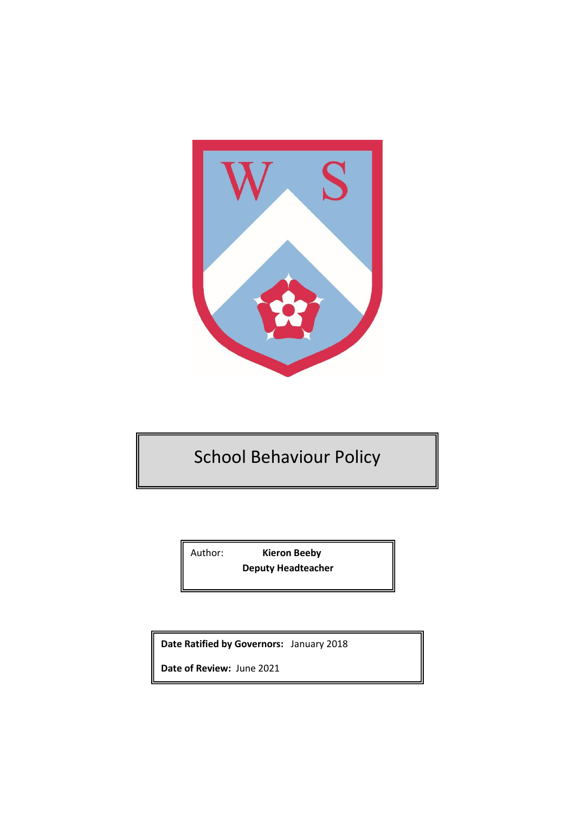

# School Behaviour Policy

Author: **Kieron Beeby Deputy Headteacher** 

**Date Ratified by Governors:** January 2018

**Date of Review:** June 2021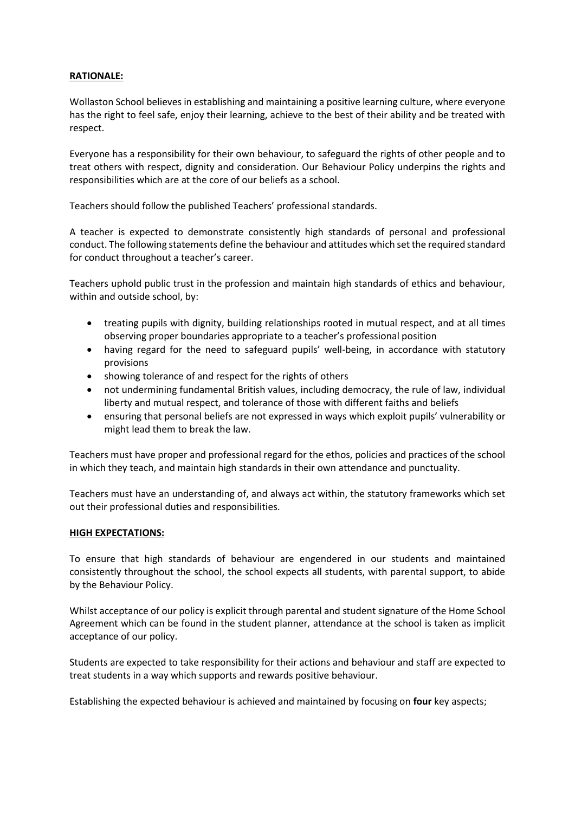## **RATIONALE:**

Wollaston School believes in establishing and maintaining a positive learning culture, where everyone has the right to feel safe, enjoy their learning, achieve to the best of their ability and be treated with respect.

Everyone has a responsibility for their own behaviour, to safeguard the rights of other people and to treat others with respect, dignity and consideration. Our Behaviour Policy underpins the rights and responsibilities which are at the core of our beliefs as a school.

Teachers should follow the published Teachers' professional standards.

A teacher is expected to demonstrate consistently high standards of personal and professional conduct. The following statements define the behaviour and attitudes which set the required standard for conduct throughout a teacher's career.

Teachers uphold public trust in the profession and maintain high standards of ethics and behaviour, within and outside school, by:

- treating pupils with dignity, building relationships rooted in mutual respect, and at all times observing proper boundaries appropriate to a teacher's professional position
- having regard for the need to safeguard pupils' well-being, in accordance with statutory provisions
- showing tolerance of and respect for the rights of others
- not undermining fundamental British values, including democracy, the rule of law, individual liberty and mutual respect, and tolerance of those with different faiths and beliefs
- ensuring that personal beliefs are not expressed in ways which exploit pupils' vulnerability or might lead them to break the law.

Teachers must have proper and professional regard for the ethos, policies and practices of the school in which they teach, and maintain high standards in their own attendance and punctuality.

Teachers must have an understanding of, and always act within, the statutory frameworks which set out their professional duties and responsibilities.

## **HIGH EXPECTATIONS:**

To ensure that high standards of behaviour are engendered in our students and maintained consistently throughout the school, the school expects all students, with parental support, to abide by the Behaviour Policy.

Whilst acceptance of our policy is explicit through parental and student signature of the Home School Agreement which can be found in the student planner, attendance at the school is taken as implicit acceptance of our policy.

Students are expected to take responsibility for their actions and behaviour and staff are expected to treat students in a way which supports and rewards positive behaviour.

Establishing the expected behaviour is achieved and maintained by focusing on **four** key aspects;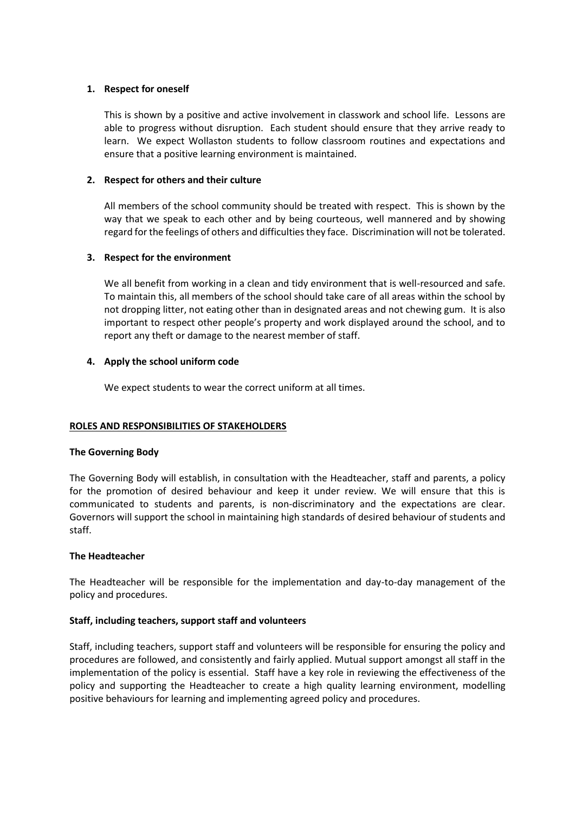## **1. Respect for oneself**

This is shown by a positive and active involvement in classwork and school life. Lessons are able to progress without disruption. Each student should ensure that they arrive ready to learn. We expect Wollaston students to follow classroom routines and expectations and ensure that a positive learning environment is maintained.

# **2. Respect for others and their culture**

All members of the school community should be treated with respect. This is shown by the way that we speak to each other and by being courteous, well mannered and by showing regard for the feelings of others and difficulties they face. Discrimination will not be tolerated.

# **3. Respect for the environment**

We all benefit from working in a clean and tidy environment that is well-resourced and safe. To maintain this, all members of the school should take care of all areas within the school by not dropping litter, not eating other than in designated areas and not chewing gum. It is also important to respect other people's property and work displayed around the school, and to report any theft or damage to the nearest member of staff.

# **4. Apply the school uniform code**

We expect students to wear the correct uniform at all times.

# **ROLES AND RESPONSIBILITIES OF STAKEHOLDERS**

## **The Governing Body**

The Governing Body will establish, in consultation with the Headteacher, staff and parents, a policy for the promotion of desired behaviour and keep it under review. We will ensure that this is communicated to students and parents, is non-discriminatory and the expectations are clear. Governors will support the school in maintaining high standards of desired behaviour of students and staff.

## **The Headteacher**

The Headteacher will be responsible for the implementation and day-to-day management of the policy and procedures.

## **Staff, including teachers, support staff and volunteers**

Staff, including teachers, support staff and volunteers will be responsible for ensuring the policy and procedures are followed, and consistently and fairly applied. Mutual support amongst all staff in the implementation of the policy is essential. Staff have a key role in reviewing the effectiveness of the policy and supporting the Headteacher to create a high quality learning environment, modelling positive behaviours for learning and implementing agreed policy and procedures.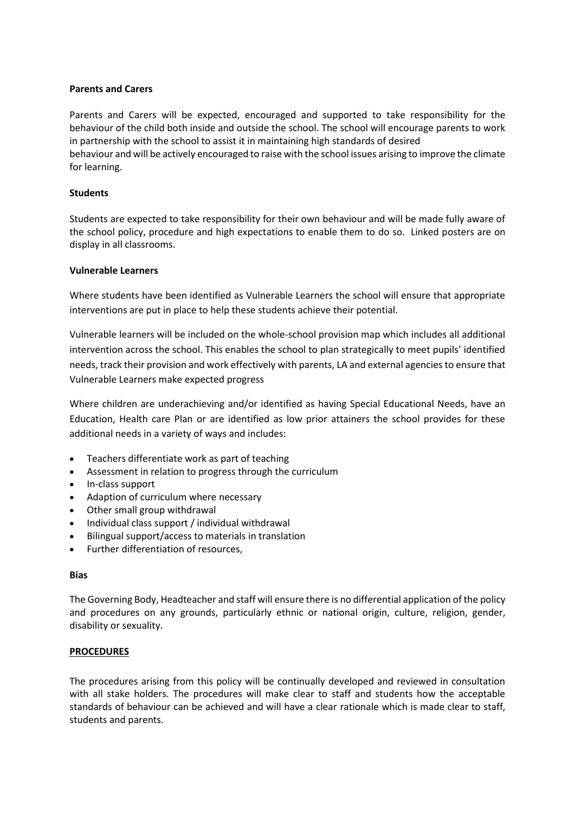## **Parents and Carers**

Parents and Carers will be expected, encouraged and supported to take responsibility for the behaviour of the child both inside and outside the school. The school will encourage parents to work in partnership with the school to assist it in maintaining high standards of desired behaviour and will be actively encouraged to raise with the school issues arising to improve the climate for learning.

## **Students**

Students are expected to take responsibility for their own behaviour and will be made fully aware of the school policy, procedure and high expectations to enable them to do so. Linked posters are on display in all classrooms.

#### **Vulnerable Learners**

Where students have been identified as Vulnerable Learners the school will ensure that appropriate interventions are put in place to help these students achieve their potential.

Vulnerable learners will be included on the whole-school provision map which includes all additional intervention across the school. This enables the school to plan strategically to meet pupils' identified needs, track their provision and work effectively with parents, LA and external agencies to ensure that Vulnerable Learners make expected progress

Where children are underachieving and/or identified as having Special Educational Needs, have an Education, Health care Plan or are identified as low prior attainers the school provides for these additional needs in a variety of ways and includes:

- Teachers differentiate work as part of teaching
- Assessment in relation to progress through the curriculum
- In-class support
- Adaption of curriculum where necessary
- Other small group withdrawal
- Individual class support / individual withdrawal
- Bilingual support/access to materials in translation
- Further differentiation of resources,

#### **Bias**

The Governing Body, Headteacher and staff will ensure there is no differential application of the policy and procedures on any grounds, particularly ethnic or national origin, culture, religion, gender, disability or sexuality.

## **PROCEDURES**

The procedures arising from this policy will be continually developed and reviewed in consultation with all stake holders. The procedures will make clear to staff and students how the acceptable standards of behaviour can be achieved and will have a clear rationale which is made clear to staff, students and parents.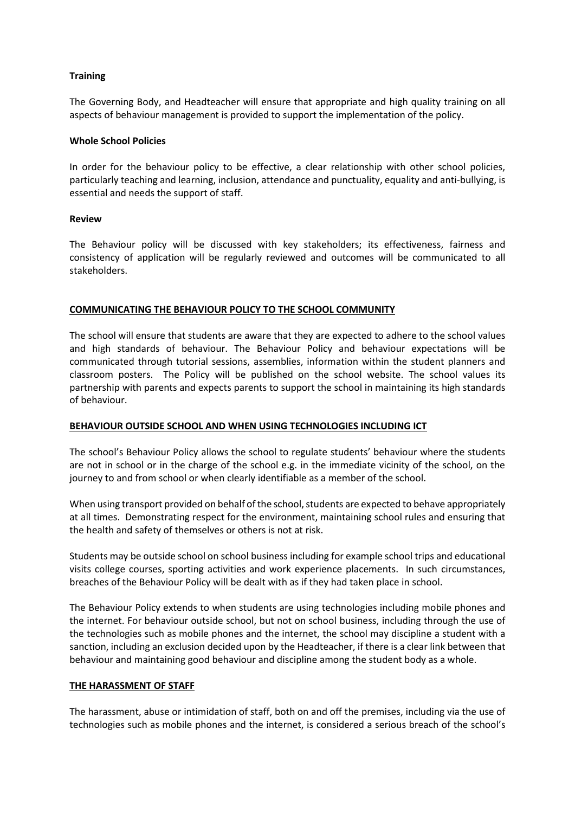## **Training**

The Governing Body, and Headteacher will ensure that appropriate and high quality training on all aspects of behaviour management is provided to support the implementation of the policy.

## **Whole School Policies**

In order for the behaviour policy to be effective, a clear relationship with other school policies, particularly teaching and learning, inclusion, attendance and punctuality, equality and anti-bullying, is essential and needs the support of staff.

#### **Review**

The Behaviour policy will be discussed with key stakeholders; its effectiveness, fairness and consistency of application will be regularly reviewed and outcomes will be communicated to all stakeholders.

## **COMMUNICATING THE BEHAVIOUR POLICY TO THE SCHOOL COMMUNITY**

The school will ensure that students are aware that they are expected to adhere to the school values and high standards of behaviour. The Behaviour Policy and behaviour expectations will be communicated through tutorial sessions, assemblies, information within the student planners and classroom posters. The Policy will be published on the school website. The school values its partnership with parents and expects parents to support the school in maintaining its high standards of behaviour.

## **BEHAVIOUR OUTSIDE SCHOOL AND WHEN USING TECHNOLOGIES INCLUDING ICT**

The school's Behaviour Policy allows the school to regulate students' behaviour where the students are not in school or in the charge of the school e.g. in the immediate vicinity of the school, on the journey to and from school or when clearly identifiable as a member of the school.

When using transport provided on behalf of the school, students are expected to behave appropriately at all times. Demonstrating respect for the environment, maintaining school rules and ensuring that the health and safety of themselves or others is not at risk.

Students may be outside school on school business including for example school trips and educational visits college courses, sporting activities and work experience placements. In such circumstances, breaches of the Behaviour Policy will be dealt with as if they had taken place in school.

The Behaviour Policy extends to when students are using technologies including mobile phones and the internet. For behaviour outside school, but not on school business, including through the use of the technologies such as mobile phones and the internet, the school may discipline a student with a sanction, including an exclusion decided upon by the Headteacher, if there is a clear link between that behaviour and maintaining good behaviour and discipline among the student body as a whole.

## **THE HARASSMENT OF STAFF**

The harassment, abuse or intimidation of staff, both on and off the premises, including via the use of technologies such as mobile phones and the internet, is considered a serious breach of the school's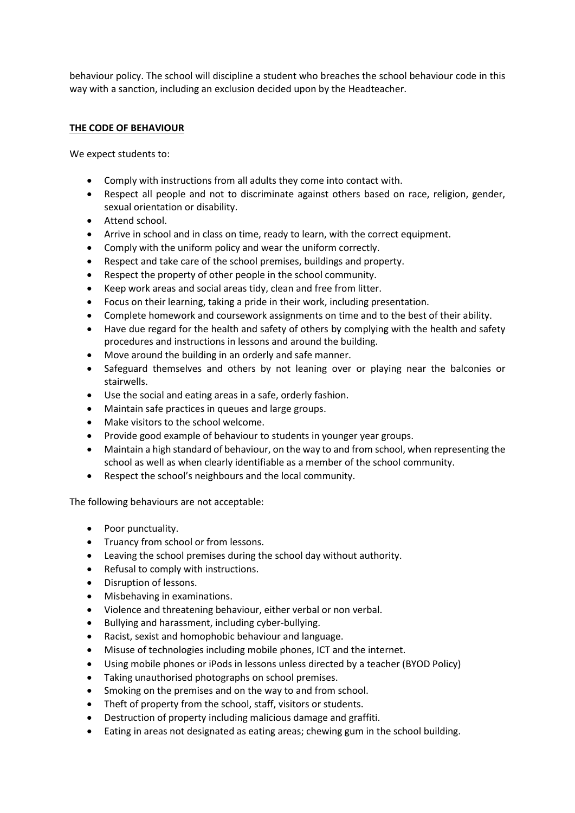behaviour policy. The school will discipline a student who breaches the school behaviour code in this way with a sanction, including an exclusion decided upon by the Headteacher.

# **THE CODE OF BEHAVIOUR**

We expect students to:

- Comply with instructions from all adults they come into contact with.
- Respect all people and not to discriminate against others based on race, religion, gender, sexual orientation or disability.
- Attend school.
- Arrive in school and in class on time, ready to learn, with the correct equipment.
- Comply with the uniform policy and wear the uniform correctly.
- Respect and take care of the school premises, buildings and property.
- Respect the property of other people in the school community.
- Keep work areas and social areas tidy, clean and free from litter.
- Focus on their learning, taking a pride in their work, including presentation.
- Complete homework and coursework assignments on time and to the best of their ability.
- Have due regard for the health and safety of others by complying with the health and safety procedures and instructions in lessons and around the building.
- Move around the building in an orderly and safe manner.
- Safeguard themselves and others by not leaning over or playing near the balconies or stairwells.
- Use the social and eating areas in a safe, orderly fashion.
- Maintain safe practices in queues and large groups.
- Make visitors to the school welcome.
- Provide good example of behaviour to students in younger year groups.
- Maintain a high standard of behaviour, on the way to and from school, when representing the school as well as when clearly identifiable as a member of the school community.
- Respect the school's neighbours and the local community.

The following behaviours are not acceptable:

- Poor punctuality.
- Truancy from school or from lessons.
- Leaving the school premises during the school day without authority.
- Refusal to comply with instructions.
- Disruption of lessons.
- Misbehaving in examinations.
- Violence and threatening behaviour, either verbal or non verbal.
- Bullying and harassment, including cyber-bullying.
- Racist, sexist and homophobic behaviour and language.
- Misuse of technologies including mobile phones, ICT and the internet.
- Using mobile phones or iPods in lessons unless directed by a teacher (BYOD Policy)
- Taking unauthorised photographs on school premises.
- Smoking on the premises and on the way to and from school.
- Theft of property from the school, staff, visitors or students.
- Destruction of property including malicious damage and graffiti.
- Eating in areas not designated as eating areas; chewing gum in the school building.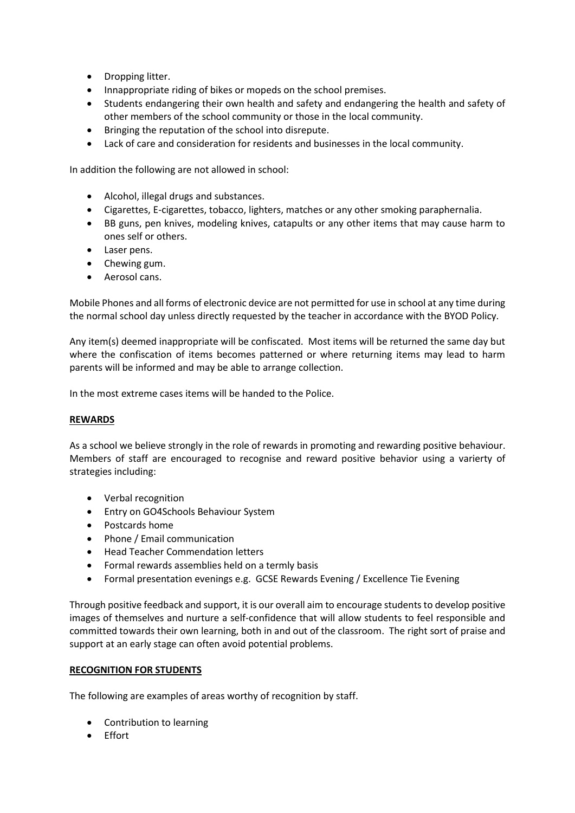- Dropping litter.
- Innappropriate riding of bikes or mopeds on the school premises.
- Students endangering their own health and safety and endangering the health and safety of other members of the school community or those in the local community.
- Bringing the reputation of the school into disrepute.
- Lack of care and consideration for residents and businesses in the local community.

In addition the following are not allowed in school:

- Alcohol, illegal drugs and substances.
- Cigarettes, E-cigarettes, tobacco, lighters, matches or any other smoking paraphernalia.
- BB guns, pen knives, modeling knives, catapults or any other items that may cause harm to ones self or others.
- Laser pens.
- Chewing gum.
- Aerosol cans.

Mobile Phones and all forms of electronic device are not permitted for use in school at any time during the normal school day unless directly requested by the teacher in accordance with the BYOD Policy.

Any item(s) deemed inappropriate will be confiscated. Most items will be returned the same day but where the confiscation of items becomes patterned or where returning items may lead to harm parents will be informed and may be able to arrange collection.

In the most extreme cases items will be handed to the Police.

## **REWARDS**

As a school we believe strongly in the role of rewards in promoting and rewarding positive behaviour. Members of staff are encouraged to recognise and reward positive behavior using a varierty of strategies including:

- Verbal recognition
- **•** Entry on GO4Schools Behaviour System
- Postcards home
- Phone / Email communication
- Head Teacher Commendation letters
- Formal rewards assemblies held on a termly basis
- Formal presentation evenings e.g. GCSE Rewards Evening / Excellence Tie Evening

Through positive feedback and support, it is our overall aim to encourage students to develop positive images of themselves and nurture a self-confidence that will allow students to feel responsible and committed towards their own learning, both in and out of the classroom. The right sort of praise and support at an early stage can often avoid potential problems.

## **RECOGNITION FOR STUDENTS**

The following are examples of areas worthy of recognition by staff.

- Contribution to learning
- Fffort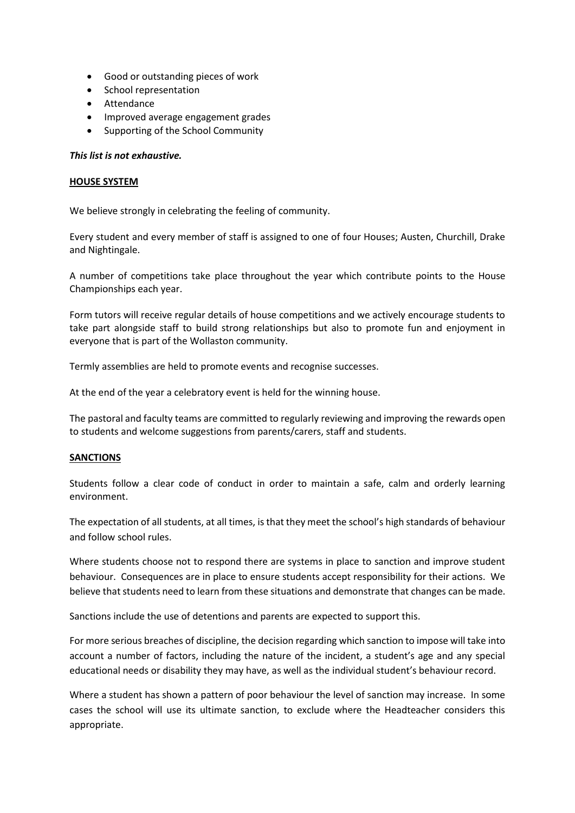- Good or outstanding pieces of work
- School representation
- Attendance
- Improved average engagement grades
- Supporting of the School Community

## *This list is not exhaustive.*

## **HOUSE SYSTEM**

We believe strongly in celebrating the feeling of community.

Every student and every member of staff is assigned to one of four Houses; Austen, Churchill, Drake and Nightingale.

A number of competitions take place throughout the year which contribute points to the House Championships each year.

Form tutors will receive regular details of house competitions and we actively encourage students to take part alongside staff to build strong relationships but also to promote fun and enjoyment in everyone that is part of the Wollaston community.

Termly assemblies are held to promote events and recognise successes.

At the end of the year a celebratory event is held for the winning house.

The pastoral and faculty teams are committed to regularly reviewing and improving the rewards open to students and welcome suggestions from parents/carers, staff and students.

## **SANCTIONS**

Students follow a clear code of conduct in order to maintain a safe, calm and orderly learning environment.

The expectation of all students, at all times, is that they meet the school's high standards of behaviour and follow school rules.

Where students choose not to respond there are systems in place to sanction and improve student behaviour. Consequences are in place to ensure students accept responsibility for their actions. We believe that students need to learn from these situations and demonstrate that changes can be made.

Sanctions include the use of detentions and parents are expected to support this.

For more serious breaches of discipline, the decision regarding which sanction to impose will take into account a number of factors, including the nature of the incident, a student's age and any special educational needs or disability they may have, as well as the individual student's behaviour record.

Where a student has shown a pattern of poor behaviour the level of sanction may increase. In some cases the school will use its ultimate sanction, to exclude where the Headteacher considers this appropriate.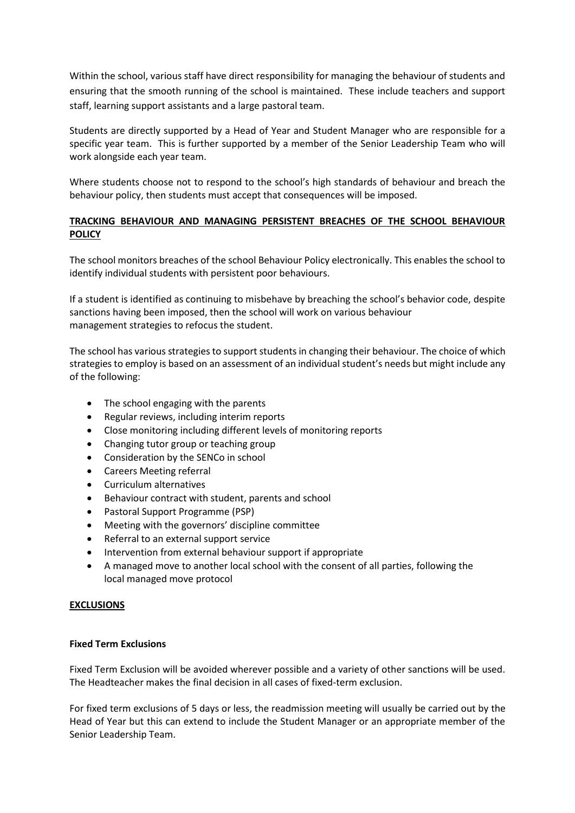Within the school, various staff have direct responsibility for managing the behaviour of students and ensuring that the smooth running of the school is maintained. These include teachers and support staff, learning support assistants and a large pastoral team.

Students are directly supported by a Head of Year and Student Manager who are responsible for a specific year team. This is further supported by a member of the Senior Leadership Team who will work alongside each year team.

Where students choose not to respond to the school's high standards of behaviour and breach the behaviour policy, then students must accept that consequences will be imposed.

# **TRACKING BEHAVIOUR AND MANAGING PERSISTENT BREACHES OF THE SCHOOL BEHAVIOUR POLICY**

The school monitors breaches of the school Behaviour Policy electronically. This enables the school to identify individual students with persistent poor behaviours.

If a student is identified as continuing to misbehave by breaching the school's behavior code, despite sanctions having been imposed, then the school will work on various behaviour management strategies to refocus the student.

The school has various strategies to support students in changing their behaviour. The choice of which strategies to employ is based on an assessment of an individual student's needs but might include any of the following:

- The school engaging with the parents
- Regular reviews, including interim reports
- Close monitoring including different levels of monitoring reports
- Changing tutor group or teaching group
- Consideration by the SENCo in school
- Careers Meeting referral
- Curriculum alternatives
- Behaviour contract with student, parents and school
- Pastoral Support Programme (PSP)
- Meeting with the governors' discipline committee
- Referral to an external support service
- Intervention from external behaviour support if appropriate
- A managed move to another local school with the consent of all parties, following the local managed move protocol

## **EXCLUSIONS**

## **Fixed Term Exclusions**

Fixed Term Exclusion will be avoided wherever possible and a variety of other sanctions will be used. The Headteacher makes the final decision in all cases of fixed-term exclusion.

For fixed term exclusions of 5 days or less, the readmission meeting will usually be carried out by the Head of Year but this can extend to include the Student Manager or an appropriate member of the Senior Leadership Team.